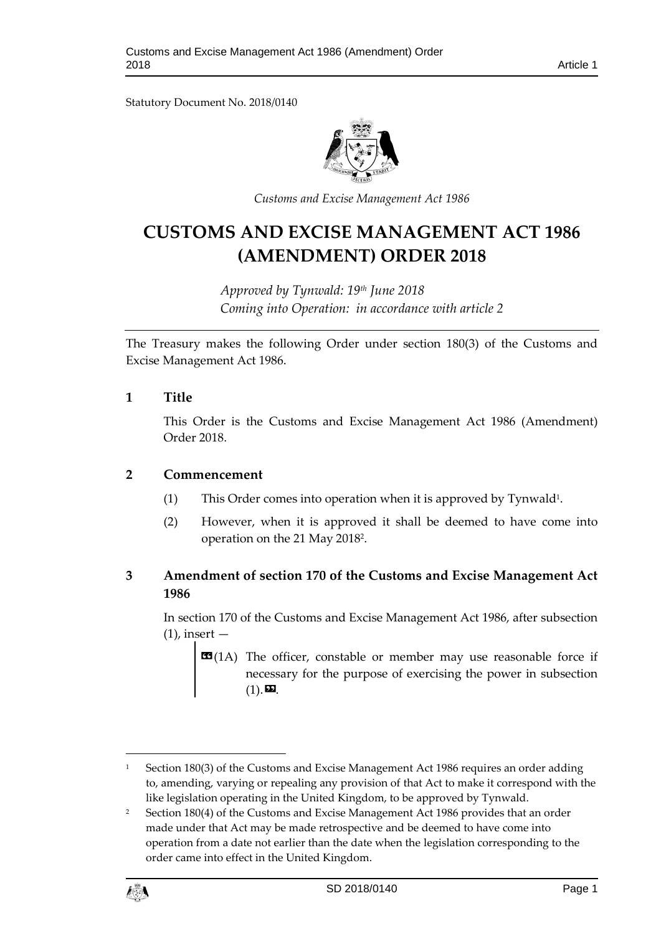Statutory Document No. 2018/0140



*Customs and Excise Management Act 1986*

# **CUSTOMS AND EXCISE MANAGEMENT ACT 1986 (AMENDMENT) ORDER 2018**

*Approved by Tynwald: 19th June 2018 Coming into Operation: in accordance with article 2*

The Treasury makes the following Order under section 180(3) of the Customs and Excise Management Act 1986.

#### **1 Title**

This Order is the Customs and Excise Management Act 1986 (Amendment) Order 2018.

#### **2 Commencement**

- (1) This Order comes into operation when it is approved by Tynwald<sup>1</sup>.
- (2) However, when it is approved it shall be deemed to have come into operation on the 21 May 2018<sup>2</sup> .

## **3 Amendment of section 170 of the Customs and Excise Management Act 1986**

In section 170 of the Customs and Excise Management Act 1986, after subsection  $(1)$ , insert  $-$ 

**EE**(1A) The officer, constable or member may use reasonable force if necessary for the purpose of exercising the power in subsection  $(1)$ .  $22$ .

<sup>&</sup>lt;sup>2</sup> Section 180(4) of the Customs and Excise Management Act 1986 provides that an order made under that Act may be made retrospective and be deemed to have come into operation from a date not earlier than the date when the legislation corresponding to the order came into effect in the United Kingdom.



1

<sup>&</sup>lt;sup>1</sup> Section 180(3) of the Customs and Excise Management Act 1986 requires an order adding to, amending, varying or repealing any provision of that Act to make it correspond with the like legislation operating in the United Kingdom, to be approved by Tynwald.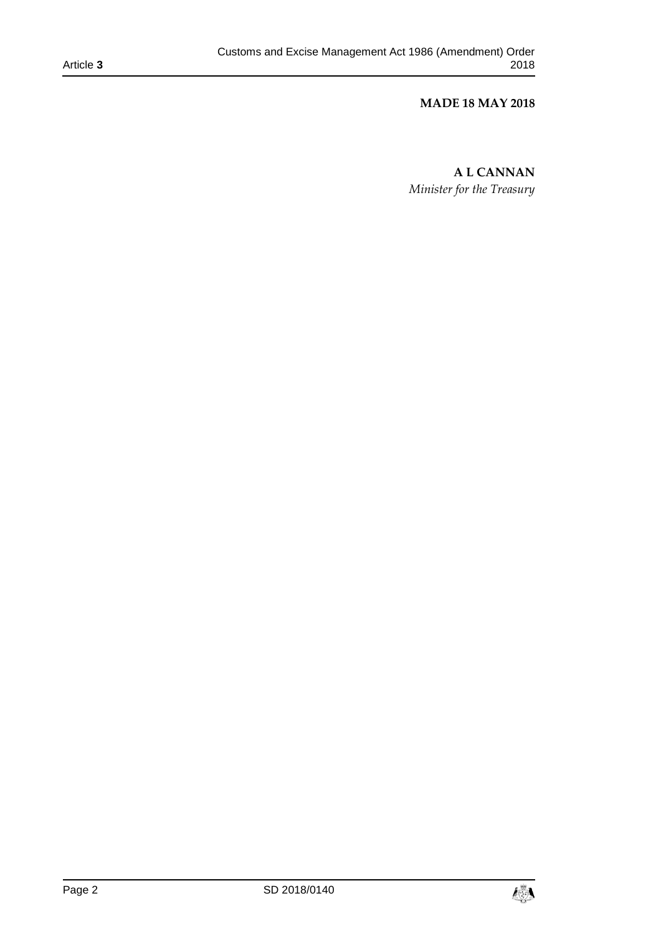### **MADE 18 MAY 2018**

**A L CANNAN** *Minister for the Treasury*